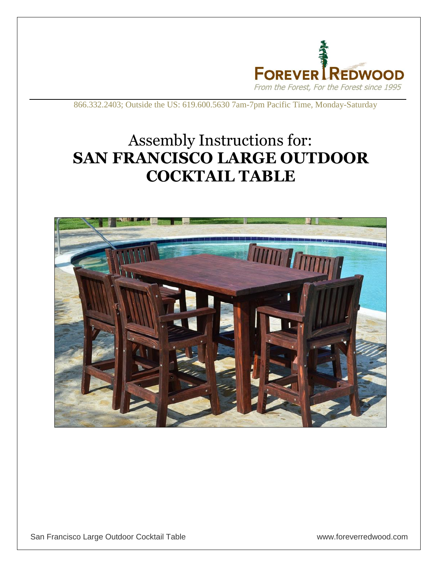

866.332.2403; Outside the US: 619.600.5630 7am-7pm Pacific Time, Monday-Saturday

## Assembly Instructions for: **SAN FRANCISCO LARGE OUTDOOR COCKTAIL TABLE**

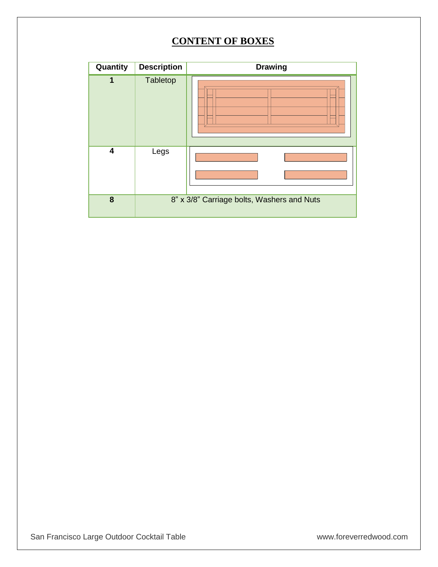## **CONTENT OF BOXES**

| Quantity | <b>Description</b> | <b>Drawing</b>                             |
|----------|--------------------|--------------------------------------------|
| 1        | Tabletop           |                                            |
| 4        | Legs               |                                            |
| 8        |                    | 8" x 3/8" Carriage bolts, Washers and Nuts |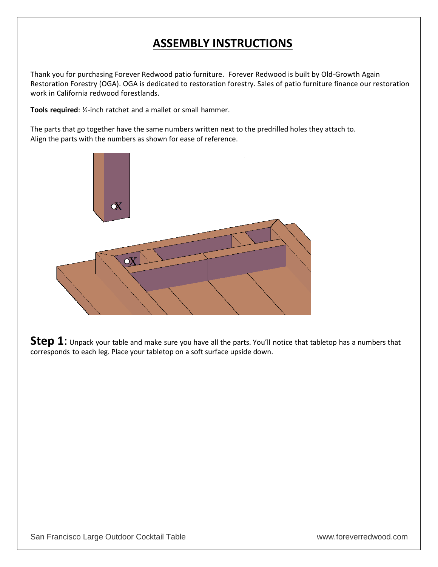## **ASSEMBLY INSTRUCTIONS**

Thank you for purchasing Forever Redwood patio furniture. Forever Redwood is built by Old-Growth Again Restoration Forestry (OGA). OGA is dedicated to restoration forestry. Sales of patio furniture finance our restoration work in California redwood forestlands.

**Tools required**: ½-inch ratchet and a mallet or small hammer.

The parts that go together have the same numbers written next to the predrilled holes they attach to. Align the parts with the numbers as shown for ease of reference.



**Step 1**: Unpack your table and make sure you have all the parts. You'll notice that tabletop has a numbers that corresponds to each leg. Place your tabletop on a soft surface upside down.